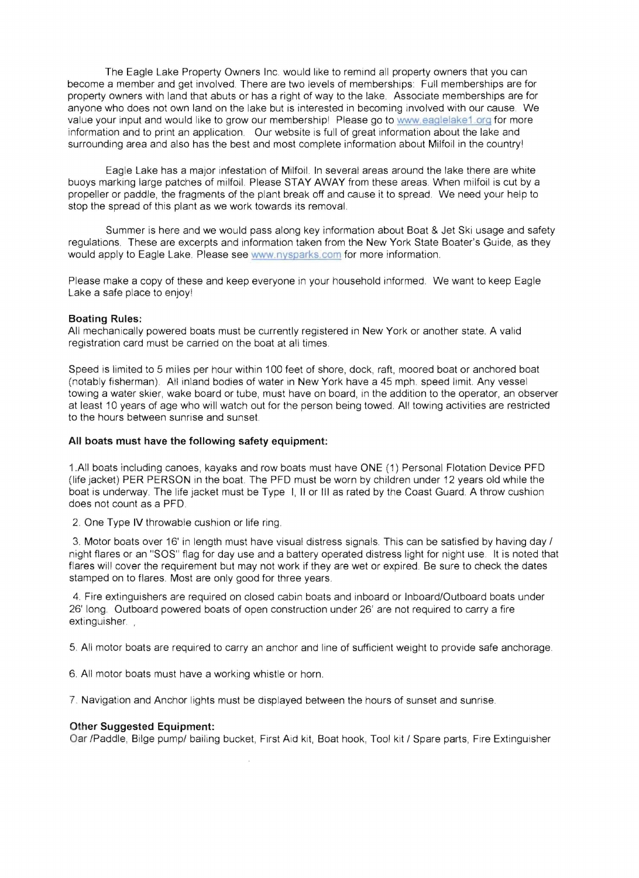The Eagle Lake Property Owners Inc. would like to remind all property owners that you can become a member and get involved. There are two levels of memberships Full memberships are for property owners with land that abuts or has a right of way to the lake. Associate memberships are for anyone who does not own land on the lake but is interested in becoming involved with our cause. We value your input and would like to grow our membershipl Please go to www eaglelake1 org for more information and to print an application. Our website is full of great information about the lake and surrounding area and also has the best and most complete information about Milfoil in the countryl

Eagle Lake has a major infestation of Milfoil. In several areas around the lake there are white buoys marking large patches of milfoil. Please STAY AWAY from these areas. When milfoil is cut by a propeller or paddle, the fragments of the plant break off and cause it to spread. We need your help to stop the spread of this plant as we work towards its removal.

Summer is here and we would pass along key information about Boat & Jet Ski usage and safety regulations. These are excerpts and information taken from the New York State Boater's Guide, as they would apply to Eagle Lake. Please see www.nysparks.com for more information.

Please make a copy of these and keep everyone in your household informed. We want to keep Eagle Lake a safe place to enjoyl

## **Boating Rules:**

All mechanically powered boats must be currently registered in New York or another state. A valid registration card must be carried on the boat at all times.

Speed is limited to 5 miles per hour within 100 feet of shore, dock, raft, moored boat or anchored boat (notably fisherman). All inland bodies of water in New York have a 45 mph. speed limit. Any vessel towing a water skier, wake board or tube, must have on board, in the addition to the operator, an observer at least 10 years of age who will watch out for the person being towed. All towing activities are restricted to the hours between sunrise and sunset.

## **All boats must have the following safety equipment:**

1.AII boats including canoes, kayaks and row boats must have ONE (1) Personal Flotation Device PFD (life jacket) PER PERSON in the boat. The PFD must be worn by children under 12 years old while the boat is underway The life jacket must be Type I, II or III as rated by the Coast Guard. A throw cushion does not count as a PFD.

2. One Type IV throwable cushion or life ring.

3. Motor boats over 16' in length must have visual distress signals. This can be satisfied by having day / night flares or an "SOS" flag for day use and a battery operated distress light for night use It is noted that flares will cover the requirement but may not work if they are wet or expired. Be sure to check the dates stamped on to flares. Most are only good for three years.

4. Fire extinguishers are required on closed cabin boats and inboard or Inboard/Outboard boats under 26' long. Outboard powered boats of open construction under 26' are not required to carry a fire extinguisher.

5. All motor boats are required to carry an anchor and line of sufficient weight to provide safe anchorage.

6. All motor boats must have a working whistle or horn.

7. Navigation and Anchor lights must be displayed between the hours of sunset and sunrise.

## **Other Suggested Equipment:**

Oar /Paddle, Bilge pump/ bailing bucket, First Aid kit, Boat hook, Tool kit / Spare parts, Fire Extinguisher